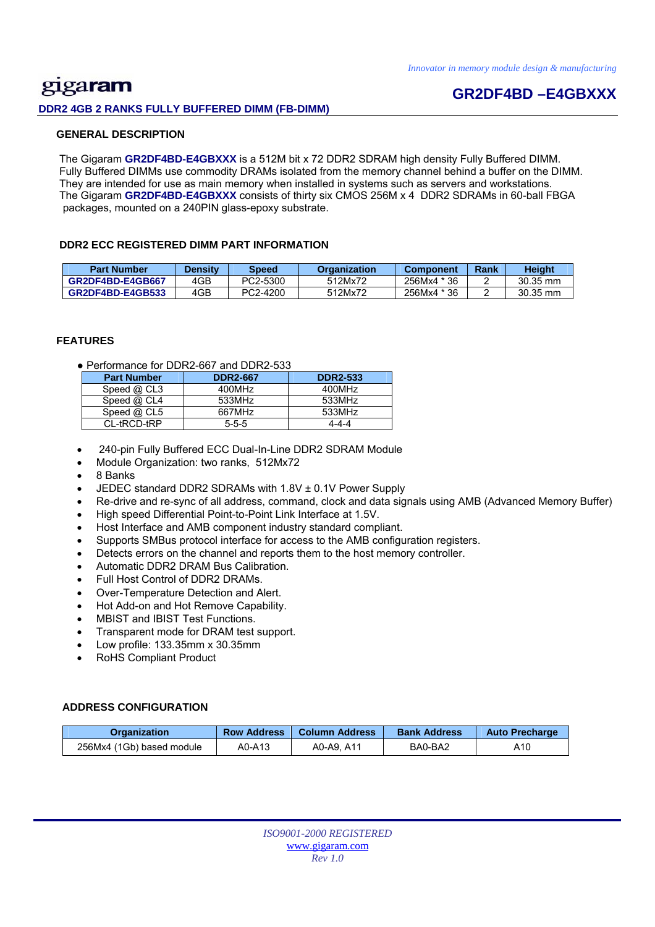## gigaram **DDR2 4GB 2 RANKS FULLY BUFFERED DIMM (FB-DIMM)**

## **GR2DF4BD –E4GBXXX**

#### **GENERAL DESCRIPTION**

 The Gigaram **GR2DF4BD-E4GBXXX** is a 512M bit x 72 DDR2 SDRAM high density Fully Buffered DIMM. Fully Buffered DIMMs use commodity DRAMs isolated from the memory channel behind a buffer on the DIMM. They are intended for use as main memory when installed in systems such as servers and workstations. The Gigaram **GR2DF4BD-E4GBXXX** consists of thirty six CMOS 256M x 4 DDR2 SDRAMs in 60-ball FBGA packages, mounted on a 240PIN glass-epoxy substrate.

#### **DDR2 ECC REGISTERED DIMM PART INFORMATION**

| <b>Part Number</b>      | <b>Density</b> | Speed    | Organization | <b>Component</b> | Rank | <b>Height</b>      |
|-------------------------|----------------|----------|--------------|------------------|------|--------------------|
| GR2DF4BD-E4GB667        | 4GB            | PC2-5300 | 512Mx72      | 256Mx4 * 36      |      | $30.35 \text{ mm}$ |
| <b>GR2DF4BD-E4GB533</b> | 4GB            | PC2-4200 | 512Mx72      | 256Mx4 * 36      |      | 30.35 mm           |

#### **FEATURES**

● Performance for DDR2-667 and DDR2-533

| <b>Part Number</b> | <b>DDR2-667</b> | <b>DDR2-533</b> |
|--------------------|-----------------|-----------------|
| Speed $@$ CL3      | 400MHz          | 400MHz          |
| Speed @ CL4        | 533MHz          | 533MHz          |
| Speed $@$ CL5      | 667MHz          | 533MHz          |
| CL-tRCD-tRP        | $5 - 5 - 5$     | 4-4-4           |

- 240-pin Fully Buffered ECC Dual-In-Line DDR2 SDRAM Module
- Module Organization: two ranks, 512Mx72
- 8 Banks
- JEDEC standard DDR2 SDRAMs with 1.8V ± 0.1V Power Supply
- Re-drive and re-sync of all address, command, clock and data signals using AMB (Advanced Memory Buffer)
- High speed Differential Point-to-Point Link Interface at 1.5V.
- Host Interface and AMB component industry standard compliant.
- Supports SMBus protocol interface for access to the AMB configuration registers.
- Detects errors on the channel and reports them to the host memory controller.
- Automatic DDR2 DRAM Bus Calibration.
- Full Host Control of DDR2 DRAMs.
- Over-Temperature Detection and Alert.
- Hot Add-on and Hot Remove Capability.
- MBIST and IBIST Test Functions.
- Transparent mode for DRAM test support.
- Low profile: 133.35mm x 30.35mm
- RoHS Compliant Product

#### **ADDRESS CONFIGURATION**

| Organization              | <b>Row Address</b> | <b>Column Address</b> | <b>Bank Address</b> | <b>Auto Precharge</b> |
|---------------------------|--------------------|-----------------------|---------------------|-----------------------|
| 256Mx4 (1Gb) based module | A0-A13             | A0-A9. A11            | BA0-BA2             | A10                   |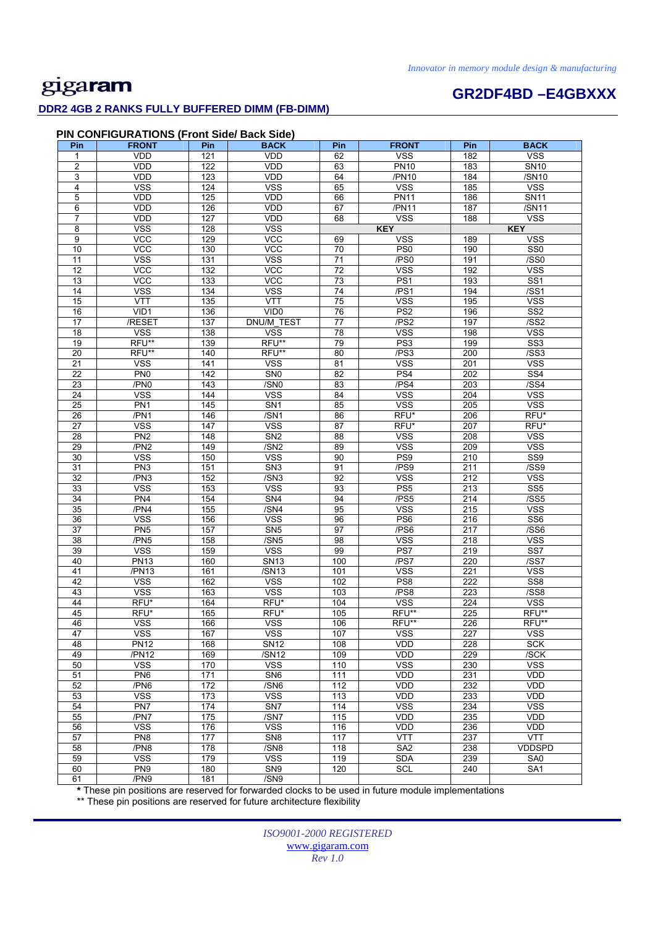# gigaram

### **DDR2 4GB 2 RANKS FULLY BUFFERED DIMM (FB-DIMM)**

## **GR2DF4BD –E4GBXXX**

| Pin             | <b>PIN CONFIGURATIONS (Front Side/ Back Side)</b><br><b>FRONT</b> | Pin | <b>BACK</b>             | Pin             | <b>FRONT</b>     | Pin              | <b>BACK</b>             |
|-----------------|-------------------------------------------------------------------|-----|-------------------------|-----------------|------------------|------------------|-------------------------|
| 1               | <b>VDD</b>                                                        | 121 | <b>VDD</b>              | 62              | <b>VSS</b>       | 182              | <b>VSS</b>              |
| $\overline{2}$  | <b>VDD</b>                                                        | 122 | <b>VDD</b>              | 63              | <b>PN10</b>      | 183              | SN10                    |
| 3               | VDD                                                               | 123 | <b>VDD</b>              | 64              | /PN10            | 184              | /SN10                   |
| 4               | <b>VSS</b>                                                        | 124 | <b>VSS</b>              | 65              | <b>VSS</b>       | 185              | <b>VSS</b>              |
| 5               | VDD                                                               | 125 | <b>VDD</b>              | 66              | <b>PN11</b>      | 186              | <b>SN11</b>             |
| 6               | VDD                                                               | 126 | VDD                     | 67              | /PN11            | 187              | /SN11                   |
| $\overline{7}$  | VDD                                                               | 127 | <b>VDD</b>              | 68              | <b>VSS</b>       | 188              | <b>VSS</b>              |
| 8               | <b>VSS</b>                                                        | 128 | <b>VSS</b>              |                 | <b>KEY</b>       |                  | <b>KEY</b>              |
| $\overline{9}$  | <b>VCC</b>                                                        | 129 | <b>VCC</b>              | 69              | <b>VSS</b>       | 189              | <b>VSS</b>              |
| 10              | <b>VCC</b>                                                        | 130 | <b>VCC</b>              | 70              | PS <sub>0</sub>  | 190              | SS <sub>0</sub>         |
| 11              | <b>VSS</b>                                                        | 131 | <b>VSS</b>              | 71              | /PS0             | 191              | /SS0                    |
| 12              | <b>VCC</b>                                                        | 132 | <b>VCC</b>              | $\overline{72}$ | <b>VSS</b>       | 192              | <b>VSS</b>              |
|                 |                                                                   |     |                         |                 | PS <sub>1</sub>  |                  | SS <sub>1</sub>         |
| 13              | <b>VCC</b>                                                        | 133 | VCC                     | 73              |                  | 193              |                         |
| 14              | <b>VSS</b>                                                        | 134 | <b>VSS</b>              | 74              | $\overline{PSS}$ | 194              | /SS1                    |
| 15              | <b>VTT</b>                                                        | 135 | <b>VTT</b>              | 75              | <b>VSS</b>       | 195              | <b>VSS</b>              |
| 16              | VID1                                                              | 136 | VID <sub>0</sub>        | 76              | PS <sub>2</sub>  | 196              | SS <sub>2</sub>         |
| 17              | /RESET                                                            | 137 | DNU/M_TEST              | 77              | /PS2             | 197              | /SS2                    |
| 18              | <b>VSS</b>                                                        | 138 | <b>VSS</b>              | 78              | <b>VSS</b>       | 198              | <b>VSS</b>              |
| 19              | RFU**                                                             | 139 | RFU**                   | 79              | PS <sub>3</sub>  | 199              | SS <sub>3</sub>         |
| 20              | RFU**                                                             | 140 | RFU**                   | 80              | /PS3             | 200              | /SS3                    |
| 21              | <b>VSS</b>                                                        | 141 | <b>VSS</b>              | 81              | <b>VSS</b>       | 201              | <b>VSS</b>              |
| $\overline{22}$ | PN <sub>0</sub>                                                   | 142 | SN <sub>0</sub>         | 82              | PS <sub>4</sub>  | 202              | SS <sub>4</sub>         |
| 23              | /PN0                                                              | 143 | /SN <sub>0</sub>        | 83              | /PS4             | 203              | /SS4                    |
| 24              | <b>VSS</b>                                                        | 144 | $\overline{\text{VSS}}$ | 84              | <b>VSS</b>       | 204              | $\overline{\text{VSS}}$ |
| 25              | PN <sub>1</sub>                                                   | 145 | SN <sub>1</sub>         | 85              | <b>VSS</b>       | 205              | <b>VSS</b>              |
| 26              | /PN1                                                              | 146 | /SN1                    | 86              | RFU*             | 206              | RFU*                    |
| 27              | <b>VSS</b>                                                        | 147 | <b>VSS</b>              | 87              | RFU*             | 207              | RFU*                    |
| 28              | PN <sub>2</sub>                                                   | 148 | SN <sub>2</sub>         | 88              | <b>VSS</b>       | 208              | <b>VSS</b>              |
| 29              | /PN <sub>2</sub>                                                  | 149 | /SN <sub>2</sub>        | 89              | <b>VSS</b>       | $\overline{209}$ | <b>VSS</b>              |
| 30              | <b>VSS</b>                                                        | 150 | <b>VSS</b>              | 90              | PS <sub>9</sub>  | 210              | SS9                     |
| 31              | PN <sub>3</sub>                                                   | 151 | SN <sub>3</sub>         | 91              | /PS9             | 211              | /SS9                    |
| 32              | /PN3                                                              | 152 | /SN3                    | 92              | <b>VSS</b>       | 212              | <b>VSS</b>              |
| 33              | <b>VSS</b>                                                        | 153 | <b>VSS</b>              | 93              | PS <sub>5</sub>  | 213              | SS <sub>5</sub>         |
| 34              | PN <sub>4</sub>                                                   | 154 | SN <sub>4</sub>         | 94              | /PS5             | 214              | /SS5                    |
| 35              | /PN4                                                              | 155 | /SN4                    | 95              | <b>VSS</b>       | 215              | VSS                     |
| 36              | <b>VSS</b>                                                        | 156 | <b>VSS</b>              | 96              | PS <sub>6</sub>  | 216              | SS <sub>6</sub>         |
| $\overline{37}$ | PN <sub>5</sub>                                                   | 157 | SN <sub>5</sub>         | $\overline{97}$ | /PS6             | 217              | /SS6                    |
| 38              | /PN5                                                              | 158 | /SN5                    | 98              | <b>VSS</b>       | 218              | VSS                     |
| $\overline{39}$ | <b>VSS</b>                                                        | 159 | <b>VSS</b>              | 99              | PS7              | 219              | $\overline{\text{SS}7}$ |
| 40              | <b>PN13</b>                                                       | 160 | <b>SN13</b>             | 100             | /PS7             | 220              | /SS7                    |
| 41              | /PN13                                                             | 161 | /SN13                   | 101             | <b>VSS</b>       | 221              | <b>VSS</b>              |
| 42              | <b>VSS</b>                                                        | 162 | <b>VSS</b>              | 102             | PS8              | 222              | SS8                     |
| 43              | <b>VSS</b>                                                        | 163 | <b>VSS</b>              | 103             | /PS8             | 223              | /SS8                    |
| 44              | RFU*                                                              | 164 | RFU*                    | 104             | <b>VSS</b>       | 224              | <b>VSS</b>              |
| 45              | RFU*                                                              | 165 | RFU*                    | 105             | RFU**            | 225              | RFU**                   |
| 46              | <b>VSS</b>                                                        | 166 | <b>VSS</b>              | 106             | RFU**            | 226              | RFU**                   |
| 47              | <b>VSS</b>                                                        | 167 | <b>VSS</b>              | 107             | <b>VSS</b>       | 227              | <b>VSS</b>              |
|                 |                                                                   |     |                         |                 | <b>VDD</b>       |                  |                         |
| 48              | <b>PN12</b>                                                       | 168 | <b>SN12</b>             | 108             |                  | 228              | <b>SCK</b>              |
| 49              | /PN12                                                             | 169 | /SN12                   | 109             | VDD              | 229              | /SCK                    |
| 50              | <b>VSS</b>                                                        | 170 | <b>VSS</b>              | 110             | <b>VSS</b>       | 230              | <b>VSS</b>              |

61 /PN9 181 /SN9 **\*** These pin positions are reserved for forwarded clocks to be used in future module implementations

51 PN6 171 SN6 111 VDD 231 VDD 52 /PN6 172 /SN6 112 VDD 232 VDD 53 | VSS | 173 | VSS | 113 | VDD | 233 | VDD 54 | PN7 | 174 | SN7 | 114 | VSS | 234 | VSS 55 /PN7 175 /SN7 115 VDD 235 VDD 56 VSS 176 VSS 116 VDD 236 VDD 57 | PN8 | 177 | SN8 | 117 | VTT | 237 | VTT 58 | /PN8 | 178 | /SN8 | 118 | SA2 | 238 | VDDSPD 59 | VSS | 179 | VSS | 119 | SDA | 239 | SA0 60 | PN9 | 180 | SN9 | 120 | SCL | 240 | SA1

\*\* These pin positions are reserved for future architecture flexibility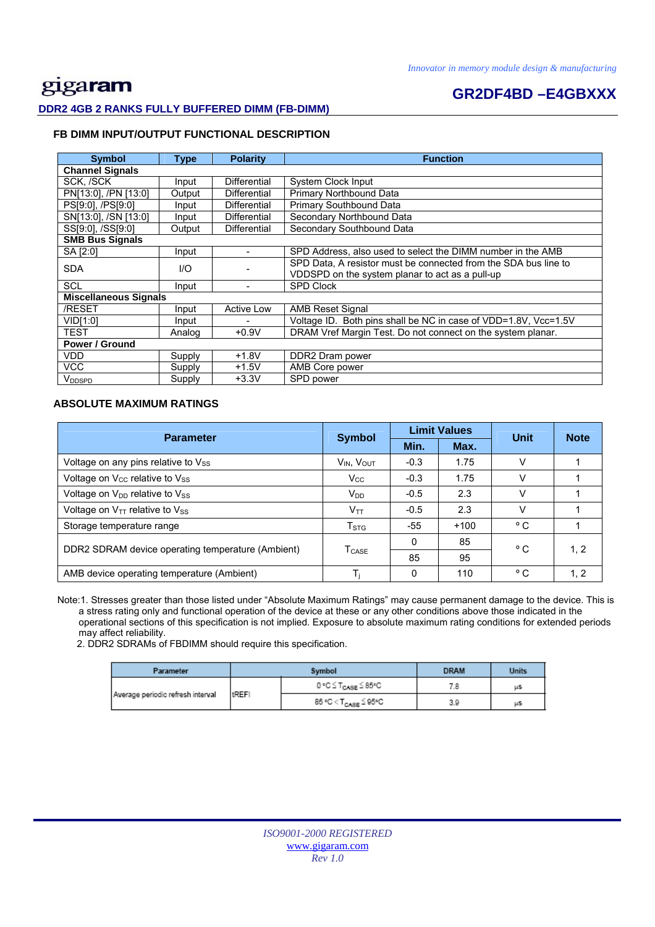## **GR2DF4BD –E4GBXXX DDR2 4GB 2 RANKS FULLY BUFFERED DIMM (FB-DIMM)**

### **FB DIMM INPUT/OUTPUT FUNCTIONAL DESCRIPTION**

| <b>Symbol</b>                | Type   | <b>Polarity</b>     | <b>Function</b>                                                 |  |  |
|------------------------------|--------|---------------------|-----------------------------------------------------------------|--|--|
| <b>Channel Signals</b>       |        |                     |                                                                 |  |  |
| SCK, /SCK                    | Input  | Differential        | System Clock Input                                              |  |  |
| PN[13:0], /PN [13:0]         | Output | Differential        | Primary Northbound Data                                         |  |  |
| PS[9:0], /PS[9:0]            | Input  | <b>Differential</b> | Primary Southbound Data                                         |  |  |
| SN[13:0], /SN [13:0]         | Input  | Differential        | Secondary Northbound Data                                       |  |  |
| SS[9:0], /SS[9:0]            | Output | <b>Differential</b> | Secondary Southbound Data                                       |  |  |
| <b>SMB Bus Signals</b>       |        |                     |                                                                 |  |  |
| SA [2:0]                     | Input  |                     | SPD Address, also used to select the DIMM number in the AMB     |  |  |
| <b>SDA</b><br>1/O            |        |                     | SPD Data, A resistor must be connected from the SDA bus line to |  |  |
|                              |        |                     | VDDSPD on the system planar to act as a pull-up                 |  |  |
| <b>SCL</b>                   | Input  |                     | <b>SPD Clock</b>                                                |  |  |
| <b>Miscellaneous Signals</b> |        |                     |                                                                 |  |  |
| /RESET                       | Input  | <b>Active Low</b>   | <b>AMB Reset Signal</b>                                         |  |  |
| VID[1:0]                     | Input  |                     | Voltage ID. Both pins shall be NC in case of VDD=1.8V, Vcc=1.5V |  |  |
| TEST                         | Analog | $+0.9V$             | DRAM Vref Margin Test. Do not connect on the system planar.     |  |  |
| Power / Ground               |        |                     |                                                                 |  |  |
| VDD                          | Supply | $+1.8V$             | DDR2 Dram power                                                 |  |  |
| <b>VCC</b>                   | Supply | $+1.5V$             | AMB Core power                                                  |  |  |
| V <sub>DDSPD</sub>           | Supply | $+3.3V$             | SPD power                                                       |  |  |

#### **ABSOLUTE MAXIMUM RATINGS**

| <b>Parameter</b>                                  | <b>Symbol</b>             |          | <b>Limit Values</b> | <b>Unit</b>  | <b>Note</b> |  |
|---------------------------------------------------|---------------------------|----------|---------------------|--------------|-------------|--|
|                                                   |                           | Min.     | Max.                |              |             |  |
| Voltage on any pins relative to Vss               | $V_{IN}$ , $V_{OUT}$      | $-0.3$   | 1.75                | V            |             |  |
| Voltage on V <sub>cc</sub> relative to Vss        | $V_{\rm CC}$              | $-0.3$   | 1.75                | V            |             |  |
| Voltage on V <sub>DD</sub> relative to Vss        | $V_{DD}$                  | $-0.5$   | 2.3                 | v            |             |  |
| Voltage on $V_{TT}$ relative to $V_{SS}$          | $V_{TT}$                  | $-0.5$   | 2.3                 | v            |             |  |
| Storage temperature range                         | $\mathsf{T}_{\text{STG}}$ | -55      | $+100$              | °C           |             |  |
| DDR2 SDRAM device operating temperature (Ambient) | <b>T</b> <sub>CASE</sub>  | $\Omega$ | 85                  | °C           | 1, 2        |  |
|                                                   |                           | 85       | 95                  |              |             |  |
| AMB device operating temperature (Ambient)        |                           | 0        | 110                 | $^{\circ}$ C | 1, 2        |  |

 Note:1. Stresses greater than those listed under "Absolute Maximum Ratings" may cause permanent damage to the device. This is a stress rating only and functional operation of the device at these or any other conditions above those indicated in the operational sections of this specification is not implied. Exposure to absolute maximum rating conditions for extended periods may affect reliability.

2. DDR2 SDRAMs of FBDIMM should require this specification.

| Parameter                         |              | Symbol                           | <b>DRAM</b> | Units |
|-----------------------------------|--------------|----------------------------------|-------------|-------|
| Average periodic refresh interval |              | 0 °C ≤ T <sub>CASE</sub> ≤ 85°C  |             | μS    |
|                                   | <b>tREFI</b> | 85 °C < T <sub>CASE</sub> ≦ 95°C | 3.9         | μS    |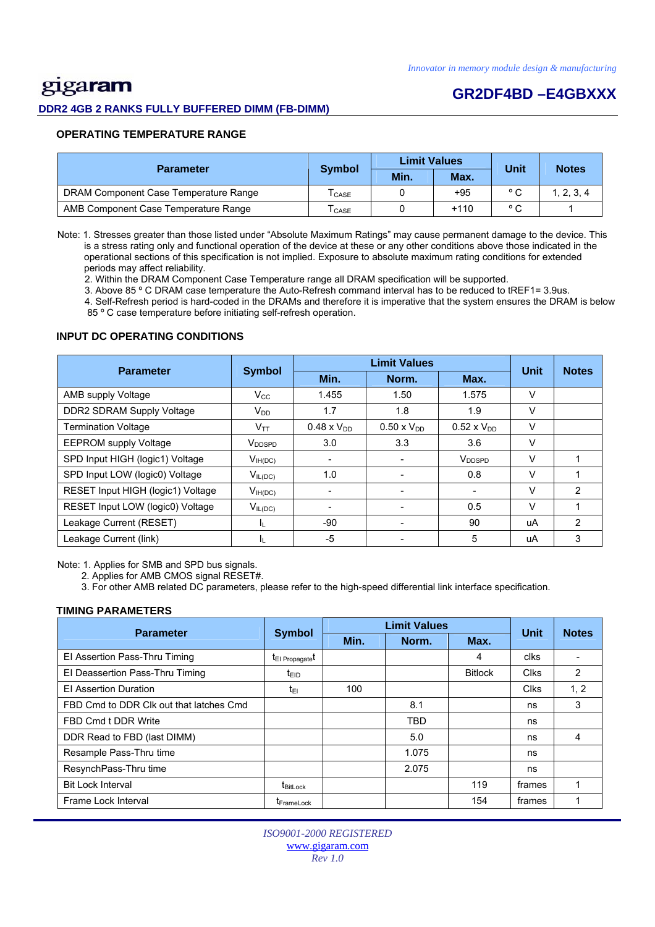# gigaram

#### **DDR2 4GB 2 RANKS FULLY BUFFERED DIMM (FB-DIMM)**

## **GR2DF4BD –E4GBXXX**

#### **OPERATING TEMPERATURE RANGE**

| <b>Parameter</b>                      | <b>Symbol</b>                | <b>Limit Values</b> |        | Unit           | <b>Notes</b> |  |
|---------------------------------------|------------------------------|---------------------|--------|----------------|--------------|--|
|                                       |                              | Min.                | Max.   |                |              |  |
| DRAM Component Case Temperature Range | $\mathsf{T}_{\mathsf{CASE}}$ |                     | $+95$  | $\circ$ $\sim$ | 1, 2, 3, 4   |  |
| AMB Component Case Temperature Range  | CASE                         |                     | $+110$ | $\circ$ $\sim$ |              |  |

 Note: 1. Stresses greater than those listed under "Absolute Maximum Ratings" may cause permanent damage to the device. This is a stress rating only and functional operation of the device at these or any other conditions above those indicated in the operational sections of this specification is not implied. Exposure to absolute maximum rating conditions for extended periods may affect reliability.

2. Within the DRAM Component Case Temperature range all DRAM specification will be supported.

3. Above 85 º C DRAM case temperature the Auto-Refresh command interval has to be reduced to tREF1= 3.9us.

 4. Self-Refresh period is hard-coded in the DRAMs and therefore it is imperative that the system ensures the DRAM is below 85 º C case temperature before initiating self-refresh operation.

#### **INPUT DC OPERATING CONDITIONS**

| <b>Parameter</b>                  | <b>Symbol</b>      | <b>Limit Values</b>  |                      |                      | <b>Unit</b> | <b>Notes</b>   |
|-----------------------------------|--------------------|----------------------|----------------------|----------------------|-------------|----------------|
|                                   |                    | Min.                 | Norm.                | Max.                 |             |                |
| AMB supply Voltage                | $V_{\rm CC}$       | 1.455                | 1.50                 | 1.575                | V           |                |
| <b>DDR2 SDRAM Supply Voltage</b>  | $V_{DD}$           | 1.7                  | 1.8                  | 1.9                  | V           |                |
| <b>Termination Voltage</b>        | Vтт                | $0.48 \times V_{DD}$ | $0.50 \times V_{DD}$ | $0.52 \times V_{DD}$ | v           |                |
| <b>EEPROM supply Voltage</b>      | V <sub>DDSPD</sub> | 3.0                  | 3.3                  | 3.6                  | V           |                |
| SPD Input HIGH (logic1) Voltage   | $V_{IH(DC)}$       |                      |                      | V <sub>DDSPD</sub>   | V           |                |
| SPD Input LOW (logic0) Voltage    | $V_{IL(DC)}$       | 1.0                  | -                    | 0.8                  | $\vee$      |                |
| RESET Input HIGH (logic1) Voltage | $V_{IH(DC)}$       |                      |                      |                      | $\vee$      | $\overline{2}$ |
| RESET Input LOW (logic0) Voltage  | $V_{IL(DC)}$       |                      |                      | 0.5                  | V           |                |
| Leakage Current (RESET)           | IL.                | $-90$                |                      | 90                   | uA          | $\mathfrak{p}$ |
| Leakage Current (link)            | IL.                | $-5$                 |                      | 5                    | uA          | 3              |

Note: 1. Applies for SMB and SPD bus signals.

2. Applies for AMB CMOS signal RESET#.

3. For other AMB related DC parameters, please refer to the high-speed differential link interface specification.

#### **TIMING PARAMETERS**

| <b>Parameter</b>                        | <b>Symbol</b>               |      | <b>Limit Values</b> |                | <b>Unit</b> | <b>Notes</b> |
|-----------------------------------------|-----------------------------|------|---------------------|----------------|-------------|--------------|
|                                         |                             | Min. | Norm.               | Max.           |             |              |
| El Assertion Pass-Thru Timing           | t <sub>El Propagate</sub> t |      |                     | 4              | clks        |              |
| El Deassertion Pass-Thru Timing         | t <sub>EID</sub>            |      |                     | <b>Bitlock</b> | <b>Clks</b> | 2            |
| <b>El Assertion Duration</b>            | t∈ı                         | 100  |                     |                | <b>Clks</b> | 1, 2         |
| FBD Cmd to DDR Clk out that latches Cmd |                             |      | 8.1                 |                | ns          | 3            |
| FBD Cmd t DDR Write                     |                             |      | <b>TBD</b>          |                | ns          |              |
| DDR Read to FBD (last DIMM)             |                             |      | 5.0                 |                | ns          | 4            |
| Resample Pass-Thru time                 |                             |      | 1.075               |                | ns          |              |
| ResynchPass-Thru time                   |                             |      | 2.075               |                | ns          |              |
| <b>Bit Lock Interval</b>                | t <sub>BitLock</sub>        |      |                     | 119            | frames      |              |
| Frame Lock Interval                     | <b>I</b> FrameLock          |      |                     | 154            | frames      |              |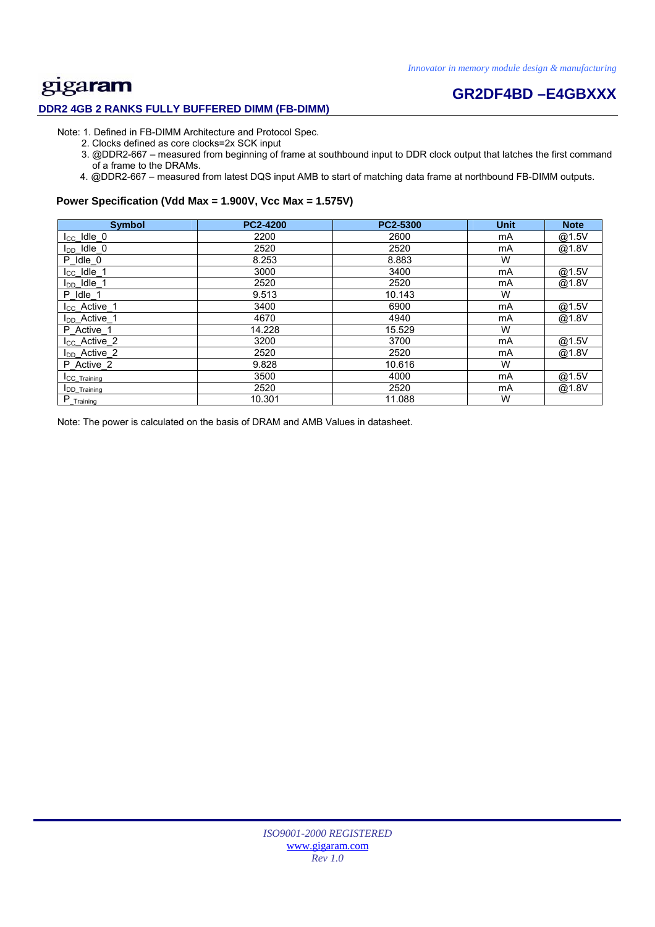# **Example 1 CR2DF4BD –E4GBXXX**

### **DDR2 4GB 2 RANKS FULLY BUFFERED DIMM (FB-DIMM)**

- Note: 1. Defined in FB-DIMM Architecture and Protocol Spec.
	- 2. Clocks defined as core clocks=2x SCK input
	- 3. @DDR2-667 measured from beginning of frame at southbound input to DDR clock output that latches the first command of a frame to the DRAMs.
	- 4. @DDR2-667 measured from latest DQS input AMB to start of matching data frame at northbound FB-DIMM outputs.

#### **Power Specification (Vdd Max = 1.900V, Vcc Max = 1.575V)**

| <b>Symbol</b>             | <b>PC2-4200</b> | PC2-5300 | <b>Unit</b> | <b>Note</b> |
|---------------------------|-----------------|----------|-------------|-------------|
| $I_{CC}$ Idle $_0$        | 2200            | 2600     | mA          | @1.5V       |
| $I_{DD}$ Idle 0           | 2520            | 2520     | mA          | @1.8V       |
| P Idle 0                  | 8.253           | 8.883    | W           |             |
| $I_{CC}$ Idle_1           | 3000            | 3400     | mA          | @1.5V       |
| I <sub>DD</sub> Idle 1    | 2520            | 2520     | mA          | @1.8V       |
| P Idle 1                  | 9.513           | 10.143   | W           |             |
| I <sub>CC</sub> _Active_1 | 3400            | 6900     | mA          | @1.5V       |
| I <sub>DD</sub> Active 1  | 4670            | 4940     | mA          | @1.8V       |
| P Active 1                | 14.228          | 15.529   | W           |             |
| $I_{CC}$ _Active_2        | 3200            | 3700     | mA          | @1.5V       |
| I <sub>DD</sub> _Active_2 | 2520            | 2520     | mA          | @1.8V       |
| P Active 2                | 9.828           | 10.616   | W           |             |
| <b>ICC</b> Training       | 3500            | 4000     | mA          | @1.5V       |
| <b>IDD</b> Training       | 2520            | 2520     | mA          | @1.8V       |
| $P_{T^{\text{raining}}}$  | 10.301          | 11.088   | W           |             |

Note: The power is calculated on the basis of DRAM and AMB Values in datasheet.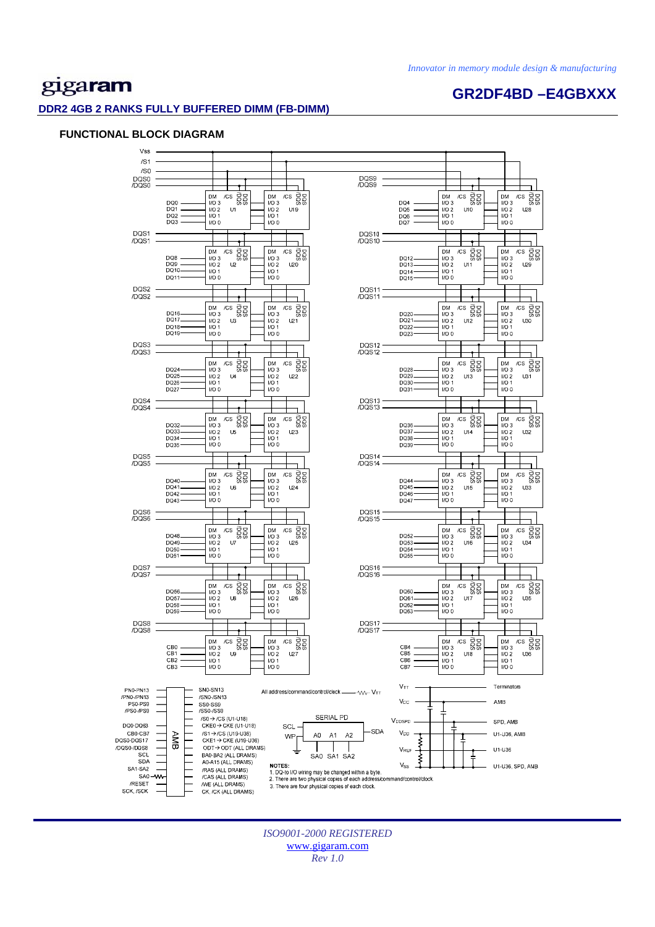**GR2DF4BD –E4GBXXX** 

# gigaram

#### **DDR2 4GB 2 RANKS FULLY BUFFERED DIMM (FB-DIMM)**

#### **FUNCTIONAL BLOCK DIAGRAM**